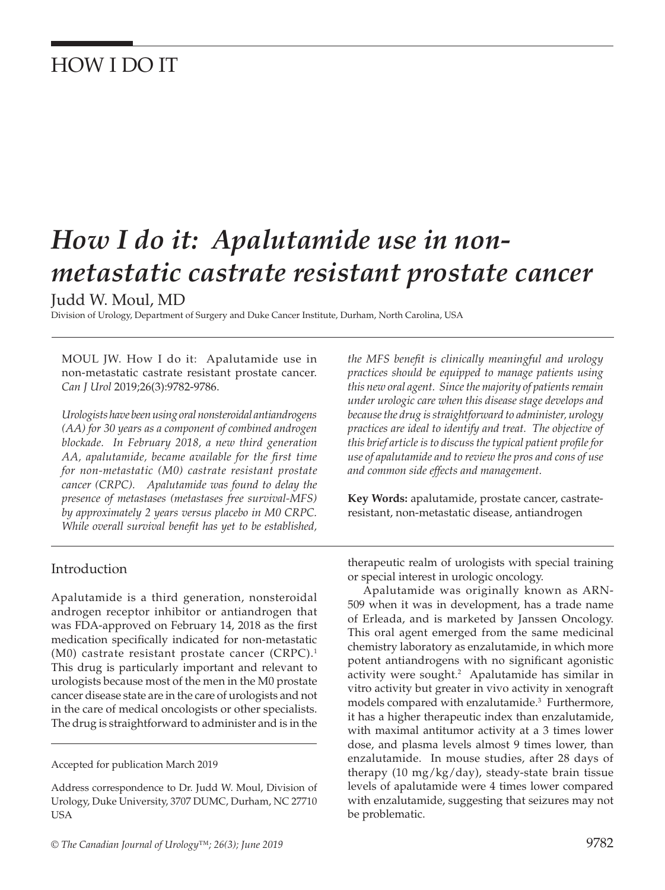# HOW I DO IT

# *How I do it: Apalutamide use in nonmetastatic castrate resistant prostate cancer*

Judd W. Moul, MD

Division of Urology, Department of Surgery and Duke Cancer Institute, Durham, North Carolina, USA

MOUL JW. How I do it: Apalutamide use in non-metastatic castrate resistant prostate cancer. *Can J Urol* 2019;26(3):9782-9786.

*Urologists have been using oral nonsteroidal antiandrogens (AA) for 30 years as a component of combined androgen blockade. In February 2018, a new third generation AA, apalutamide, became available for the first time for non-metastatic (M0) castrate resistant prostate cancer (CRPC). Apalutamide was found to delay the presence of metastases (metastases free survival-MFS) by approximately 2 years versus placebo in M0 CRPC. While overall survival benefit has yet to be established,* 

#### Introduction

Apalutamide is a third generation, nonsteroidal androgen receptor inhibitor or antiandrogen that was FDA-approved on February 14, 2018 as the first medication specifically indicated for non-metastatic (M0) castrate resistant prostate cancer (CRPC).1 This drug is particularly important and relevant to urologists because most of the men in the M0 prostate cancer disease state are in the care of urologists and not in the care of medical oncologists or other specialists. The drug is straightforward to administer and is in the

Accepted for publication March 2019

Address correspondence to Dr. Judd W. Moul, Division of Urology, Duke University, 3707 DUMC, Durham, NC 27710 USA

*the MFS benefit is clinically meaningful and urology practices should be equipped to manage patients using this new oral agent. Since the majority of patients remain under urologic care when this disease stage develops and because the drug is straightforward to administer, urology practices are ideal to identify and treat. The objective of this brief article is to discuss the typical patient profile for use of apalutamide and to review the pros and cons of use and common side effects and management.* 

**Key Words:** apalutamide, prostate cancer, castrateresistant, non-metastatic disease, antiandrogen

therapeutic realm of urologists with special training or special interest in urologic oncology.

Apalutamide was originally known as ARN-509 when it was in development, has a trade name of Erleada, and is marketed by Janssen Oncology. This oral agent emerged from the same medicinal chemistry laboratory as enzalutamide, in which more potent antiandrogens with no significant agonistic activity were sought.<sup>2</sup> Apalutamide has similar in vitro activity but greater in vivo activity in xenograft models compared with enzalutamide.<sup>3</sup> Furthermore, it has a higher therapeutic index than enzalutamide, with maximal antitumor activity at a 3 times lower dose, and plasma levels almost 9 times lower, than enzalutamide. In mouse studies, after 28 days of therapy (10 mg/kg/day), steady-state brain tissue levels of apalutamide were 4 times lower compared with enzalutamide, suggesting that seizures may not be problematic.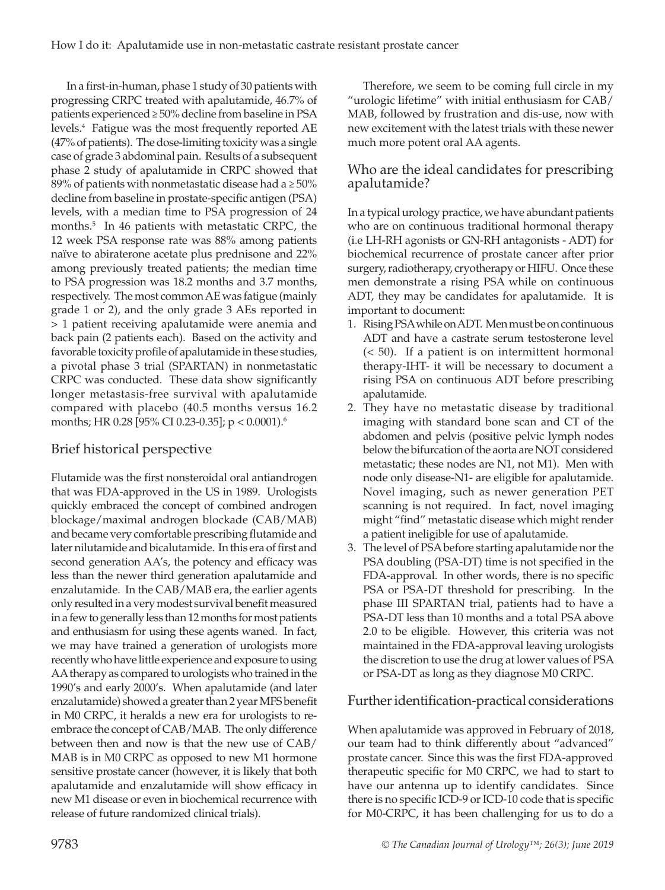In a first-in-human, phase 1 study of 30 patients with progressing CRPC treated with apalutamide, 46.7% of patients experienced ≥ 50% decline from baseline in PSA levels.4 Fatigue was the most frequently reported AE (47% of patients). The dose-limiting toxicity was a single case of grade 3 abdominal pain. Results of a subsequent phase 2 study of apalutamide in CRPC showed that 89% of patients with nonmetastatic disease had a  $\geq 50\%$ decline from baseline in prostate-specific antigen (PSA) levels, with a median time to PSA progression of 24 months.5 In 46 patients with metastatic CRPC, the 12 week PSA response rate was 88% among patients naïve to abiraterone acetate plus prednisone and 22% among previously treated patients; the median time to PSA progression was 18.2 months and 3.7 months, respectively. The most common AE was fatigue (mainly grade 1 or 2), and the only grade 3 AEs reported in > 1 patient receiving apalutamide were anemia and back pain (2 patients each). Based on the activity and favorable toxicity profile of apalutamide in these studies, a pivotal phase 3 trial (SPARTAN) in nonmetastatic CRPC was conducted. These data show significantly longer metastasis-free survival with apalutamide compared with placebo (40.5 months versus 16.2 months; HR 0.28 [95% CI 0.23-0.35]; p < 0.0001).6

### Brief historical perspective

Flutamide was the first nonsteroidal oral antiandrogen that was FDA-approved in the US in 1989. Urologists quickly embraced the concept of combined androgen blockage/maximal androgen blockade (CAB/MAB) and became very comfortable prescribing flutamide and later nilutamide and bicalutamide. In this era of first and second generation AA's, the potency and efficacy was less than the newer third generation apalutamide and enzalutamide. In the CAB/MAB era, the earlier agents only resulted in a very modest survival benefit measured in a few to generally less than 12 months for most patients and enthusiasm for using these agents waned. In fact, we may have trained a generation of urologists more recently who have little experience and exposure to using AA therapy as compared to urologists who trained in the 1990's and early 2000's. When apalutamide (and later enzalutamide) showed a greater than 2 year MFS benefit in M0 CRPC, it heralds a new era for urologists to reembrace the concept of CAB/MAB. The only difference between then and now is that the new use of CAB/ MAB is in M0 CRPC as opposed to new M1 hormone sensitive prostate cancer (however, it is likely that both apalutamide and enzalutamide will show efficacy in new M1 disease or even in biochemical recurrence with release of future randomized clinical trials).

Therefore, we seem to be coming full circle in my "urologic lifetime" with initial enthusiasm for CAB/ MAB, followed by frustration and dis-use, now with new excitement with the latest trials with these newer much more potent oral AA agents.

#### Who are the ideal candidates for prescribing apalutamide?

In a typical urology practice, we have abundant patients who are on continuous traditional hormonal therapy (i.e LH-RH agonists or GN-RH antagonists - ADT) for biochemical recurrence of prostate cancer after prior surgery, radiotherapy, cryotherapy or HIFU. Once these men demonstrate a rising PSA while on continuous ADT, they may be candidates for apalutamide. It is important to document:

- 1. Rising PSA while on ADT. Men must be on continuous ADT and have a castrate serum testosterone level (< 50). If a patient is on intermittent hormonal therapy-IHT- it will be necessary to document a rising PSA on continuous ADT before prescribing apalutamide.
- 2. They have no metastatic disease by traditional imaging with standard bone scan and CT of the abdomen and pelvis (positive pelvic lymph nodes below the bifurcation of the aorta are NOT considered metastatic; these nodes are N1, not M1). Men with node only disease-N1- are eligible for apalutamide. Novel imaging, such as newer generation PET scanning is not required. In fact, novel imaging might "find" metastatic disease which might render a patient ineligible for use of apalutamide.
- 3. The level of PSA before starting apalutamide nor the PSA doubling (PSA-DT) time is not specified in the FDA-approval. In other words, there is no specific PSA or PSA-DT threshold for prescribing. In the phase III SPARTAN trial, patients had to have a PSA-DT less than 10 months and a total PSA above 2.0 to be eligible. However, this criteria was not maintained in the FDA-approval leaving urologists the discretion to use the drug at lower values of PSA or PSA-DT as long as they diagnose M0 CRPC.

## Further identification-practical considerations

When apalutamide was approved in February of 2018, our team had to think differently about "advanced" prostate cancer. Since this was the first FDA-approved therapeutic specific for M0 CRPC, we had to start to have our antenna up to identify candidates. Since there is no specific ICD-9 or ICD-10 code that is specific for M0-CRPC, it has been challenging for us to do a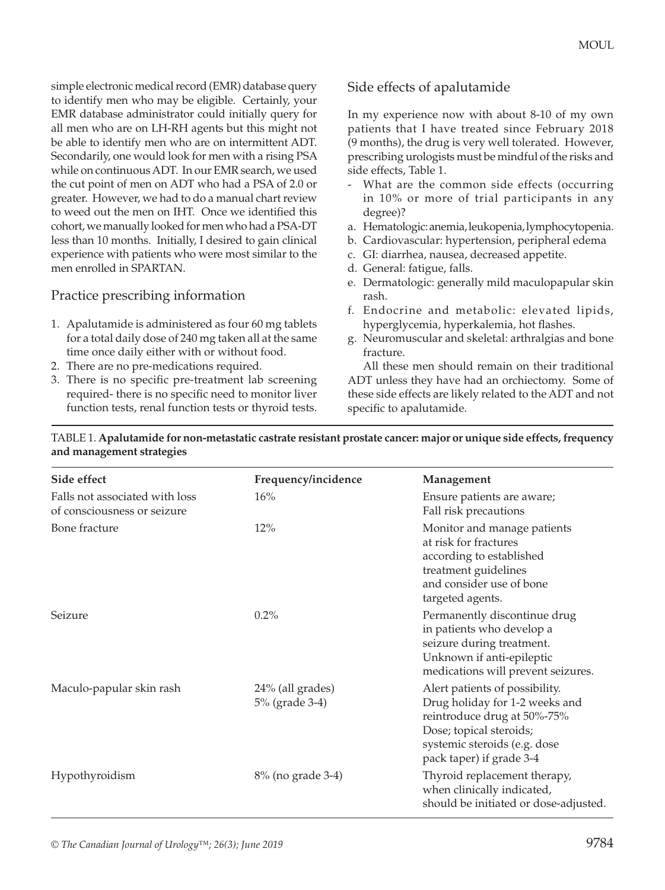simple electronic medical record (EMR) database query to identify men who may be eligible. Certainly, your EMR database administrator could initially query for all men who are on LH-RH agents but this might not be able to identify men who are on intermittent ADT. Secondarily, one would look for men with a rising PSA while on continuous ADT. In our EMR search, we used the cut point of men on ADT who had a PSA of 2.0 or greater. However, we had to do a manual chart review to weed out the men on IHT. Once we identified this cohort, we manually looked for men who had a PSA-DT less than 10 months. Initially, I desired to gain clinical experience with patients who were most similar to the men enrolled in SPARTAN.

#### Practice prescribing information

- 1. Apalutamide is administered as four 60 mg tablets for a total daily dose of 240 mg taken all at the same time once daily either with or without food.
- 2. There are no pre-medications required.
- 3. There is no specific pre-treatment lab screening required- there is no specific need to monitor liver function tests, renal function tests or thyroid tests.

#### Side effects of apalutamide

In my experience now with about 8-10 of my own patients that I have treated since February 2018 (9 months), the drug is very well tolerated. However, prescribing urologists must be mindful of the risks and side effects, Table 1.

- What are the common side effects (occurring in 10% or more of trial participants in any degree)?
- a. Hematologic: anemia, leukopenia, lymphocytopenia.
- b. Cardiovascular: hypertension, peripheral edema
- c. GI: diarrhea, nausea, decreased appetite.
- d. General: fatigue, falls.
- e. Dermatologic: generally mild maculopapular skin rash.
- f. Endocrine and metabolic: elevated lipids, hyperglycemia, hyperkalemia, hot flashes.
- g. Neuromuscular and skeletal: arthralgias and bone fracture.

All these men should remain on their traditional ADT unless they have had an orchiectomy. Some of these side effects are likely related to the ADT and not specific to apalutamide.

TABLE 1. **Apalutamide for non-metastatic castrate resistant prostate cancer: major or unique side effects, frequency and management strategies**

| Side effect                                                   | Frequency/incidence                | Management                                                                                                                                                                             |
|---------------------------------------------------------------|------------------------------------|----------------------------------------------------------------------------------------------------------------------------------------------------------------------------------------|
| Falls not associated with loss<br>of consciousness or seizure | 16%                                | Ensure patients are aware;<br>Fall risk precautions                                                                                                                                    |
| Bone fracture                                                 | 12%                                | Monitor and manage patients<br>at risk for fractures<br>according to established<br>treatment guidelines<br>and consider use of bone<br>targeted agents.                               |
| Seizure                                                       | 0.2%                               | Permanently discontinue drug<br>in patients who develop a<br>seizure during treatment.<br>Unknown if anti-epileptic<br>medications will prevent seizures.                              |
| Maculo-papular skin rash                                      | 24% (all grades)<br>5% (grade 3-4) | Alert patients of possibility.<br>Drug holiday for 1-2 weeks and<br>reintroduce drug at 50%-75%<br>Dose; topical steroids;<br>systemic steroids (e.g. dose<br>pack taper) if grade 3-4 |
| Hypothyroidism                                                | 8% (no grade 3-4)                  | Thyroid replacement therapy,<br>when clinically indicated,<br>should be initiated or dose-adjusted.                                                                                    |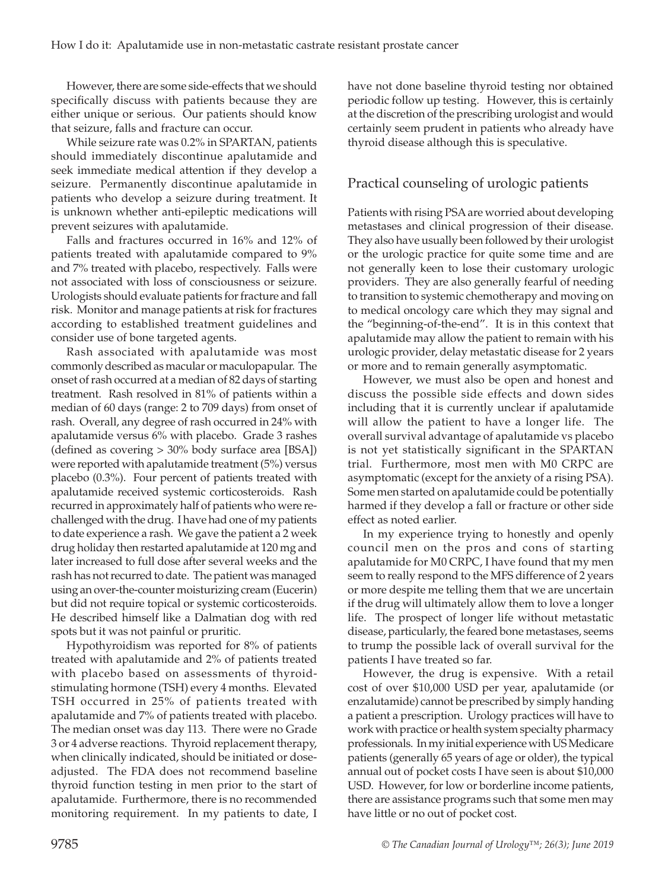However, there are some side-effects that we should specifically discuss with patients because they are either unique or serious. Our patients should know that seizure, falls and fracture can occur.

While seizure rate was 0.2% in SPARTAN, patients should immediately discontinue apalutamide and seek immediate medical attention if they develop a seizure. Permanently discontinue apalutamide in patients who develop a seizure during treatment. It is unknown whether anti-epileptic medications will prevent seizures with apalutamide.

Falls and fractures occurred in 16% and 12% of patients treated with apalutamide compared to 9% and 7% treated with placebo, respectively. Falls were not associated with loss of consciousness or seizure. Urologists should evaluate patients for fracture and fall risk. Monitor and manage patients at risk for fractures according to established treatment guidelines and consider use of bone targeted agents.

Rash associated with apalutamide was most commonly described as macular or maculopapular. The onset of rash occurred at a median of 82 days of starting treatment. Rash resolved in 81% of patients within a median of 60 days (range: 2 to 709 days) from onset of rash. Overall, any degree of rash occurred in 24% with apalutamide versus 6% with placebo. Grade 3 rashes (defined as covering > 30% body surface area [BSA]) were reported with apalutamide treatment (5%) versus placebo (0.3%). Four percent of patients treated with apalutamide received systemic corticosteroids. Rash recurred in approximately half of patients who were rechallenged with the drug. I have had one of my patients to date experience a rash. We gave the patient a 2 week drug holiday then restarted apalutamide at 120 mg and later increased to full dose after several weeks and the rash has not recurred to date. The patient was managed using an over-the-counter moisturizing cream (Eucerin) but did not require topical or systemic corticosteroids. He described himself like a Dalmatian dog with red spots but it was not painful or pruritic.

Hypothyroidism was reported for 8% of patients treated with apalutamide and 2% of patients treated with placebo based on assessments of thyroidstimulating hormone (TSH) every 4 months. Elevated TSH occurred in 25% of patients treated with apalutamide and 7% of patients treated with placebo. The median onset was day 113. There were no Grade 3 or 4 adverse reactions. Thyroid replacement therapy, when clinically indicated, should be initiated or doseadjusted. The FDA does not recommend baseline thyroid function testing in men prior to the start of apalutamide. Furthermore, there is no recommended monitoring requirement. In my patients to date, I

have not done baseline thyroid testing nor obtained periodic follow up testing. However, this is certainly at the discretion of the prescribing urologist and would certainly seem prudent in patients who already have thyroid disease although this is speculative.

#### Practical counseling of urologic patients

Patients with rising PSA are worried about developing metastases and clinical progression of their disease. They also have usually been followed by their urologist or the urologic practice for quite some time and are not generally keen to lose their customary urologic providers. They are also generally fearful of needing to transition to systemic chemotherapy and moving on to medical oncology care which they may signal and the "beginning-of-the-end". It is in this context that apalutamide may allow the patient to remain with his urologic provider, delay metastatic disease for 2 years or more and to remain generally asymptomatic.

However, we must also be open and honest and discuss the possible side effects and down sides including that it is currently unclear if apalutamide will allow the patient to have a longer life. The overall survival advantage of apalutamide vs placebo is not yet statistically significant in the SPARTAN trial. Furthermore, most men with M0 CRPC are asymptomatic (except for the anxiety of a rising PSA). Some men started on apalutamide could be potentially harmed if they develop a fall or fracture or other side effect as noted earlier.

In my experience trying to honestly and openly council men on the pros and cons of starting apalutamide for M0 CRPC, I have found that my men seem to really respond to the MFS difference of 2 years or more despite me telling them that we are uncertain if the drug will ultimately allow them to love a longer life. The prospect of longer life without metastatic disease, particularly, the feared bone metastases, seems to trump the possible lack of overall survival for the patients I have treated so far.

However, the drug is expensive. With a retail cost of over \$10,000 USD per year, apalutamide (or enzalutamide) cannot be prescribed by simply handing a patient a prescription. Urology practices will have to work with practice or health system specialty pharmacy professionals. In my initial experience with US Medicare patients (generally 65 years of age or older), the typical annual out of pocket costs I have seen is about \$10,000 USD. However, for low or borderline income patients, there are assistance programs such that some men may have little or no out of pocket cost.